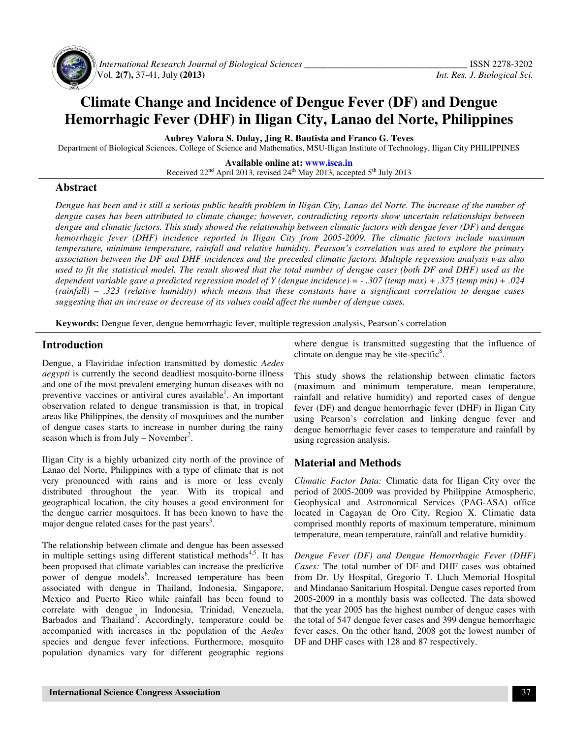

 *International Research Journal of Biological Sciences \_\_\_\_\_\_\_\_\_\_\_\_\_\_\_\_\_\_\_\_\_\_\_\_\_\_\_\_\_\_\_\_\_\_\_* ISSN 2278-3202 Vol. **2(7),** 37-41, July **(2013)** *Int. Res. J. Biological Sci.*

# **Climate Change and Incidence of Dengue Fever (DF) and Dengue Hemorrhagic Fever (DHF) in Iligan City, Lanao del Norte, Philippines**

**Aubrey Valora S. Dulay, Jing R. Bautista and Franco G. Teves** 

Department of Biological Sciences, College of Science and Mathematics, MSU-Iligan Institute of Technology, Iligan City PHILIPPINES

**Available online at: www.isca.in** Received 22<sup>nd</sup> April 2013, revised 24<sup>th</sup> May 2013, accepted 5<sup>th</sup> July 2013

# **Abstract**

*Dengue has been and is still a serious public health problem in Iligan City, Lanao del Norte. The increase of the number of dengue cases has been attributed to climate change; however, contradicting reports show uncertain relationships between dengue and climatic factors. This study showed the relationship between climatic factors with dengue fever (DF) and dengue hemorrhagic fever (DHF) incidence reported in Iligan City from 2005-2009. The climatic factors include maximum temperature, minimum temperature, rainfall and relative humidity. Pearson's correlation was used to explore the primary association between the DF and DHF incidences and the preceded climatic factors. Multiple regression analysis was also used to fit the statistical model. The result showed that the total number of dengue cases (both DF and DHF) used as the dependent variable gave a predicted regression model of Y (dengue incidence) = - .307 (temp max) + .375 (temp min) + .024 (rainfall) – .323 (relative humidity) which means that these constants have a significant correlation to dengue cases suggesting that an increase or decrease of its values could affect the number of dengue cases.* 

**Keywords:** Dengue fever, dengue hemorrhagic fever, multiple regression analysis, Pearson's correlation

## **Introduction**

Dengue, a Flaviridae infection transmitted by domestic *Aedes aegypti* is currently the second deadliest mosquito-borne illness and one of the most prevalent emerging human diseases with no preventive vaccines or antiviral cures available<sup>1</sup>. An important observation related to dengue transmission is that, in tropical areas like Philippines, the density of mosquitoes and the number of dengue cases starts to increase in number during the rainy season which is from July – November<sup>2</sup>.

Iligan City is a highly urbanized city north of the province of Lanao del Norte, Philippines with a type of climate that is not very pronounced with rains and is more or less evenly distributed throughout the year. With its tropical and geographical location, the city houses a good environment for the dengue carrier mosquitoes. It has been known to have the major dengue related cases for the past years<sup>3</sup>.

The relationship between climate and dengue has been assessed in multiple settings using different statistical methods<sup>4,5</sup>. It has been proposed that climate variables can increase the predictive power of dengue models<sup>6</sup>. Increased temperature has been associated with dengue in Thailand, Indonesia, Singapore, Mexico and Puerto Rico while rainfall has been found to correlate with dengue in Indonesia, Trinidad, Venezuela, Barbados and Thailand<sup>7</sup>. Accordingly, temperature could be accompanied with increases in the population of the *Aedes* species and dengue fever infections. Furthermore, mosquito population dynamics vary for different geographic regions

where dengue is transmitted suggesting that the influence of climate on dengue may be site-specific $8$ .

This study shows the relationship between climatic factors (maximum and minimum temperature, mean temperature, rainfall and relative humidity) and reported cases of dengue fever (DF) and dengue hemorrhagic fever (DHF) in Iligan City using Pearson's correlation and linking dengue fever and dengue hemorrhagic fever cases to temperature and rainfall by using regression analysis.

# **Material and Methods**

*Climatic Factor Data:* Climatic data for Iligan City over the period of 2005-2009 was provided by Philippine Atmospheric, Geophysical and Astronomical Services (PAG-ASA) office located in Cagayan de Oro City, Region X. Climatic data comprised monthly reports of maximum temperature, minimum temperature, mean temperature, rainfall and relative humidity.

*Dengue Fever (DF) and Dengue Hemorrhagic Fever (DHF) Cases:* The total number of DF and DHF cases was obtained from Dr. Uy Hospital, Gregorio T. Lluch Memorial Hospital and Mindanao Sanitarium Hospital. Dengue cases reported from 2005-2009 in a monthly basis was collected. The data showed that the year 2005 has the highest number of dengue cases with the total of 547 dengue fever cases and 399 dengue hemorrhagic fever cases. On the other hand, 2008 got the lowest number of DF and DHF cases with 128 and 87 respectively.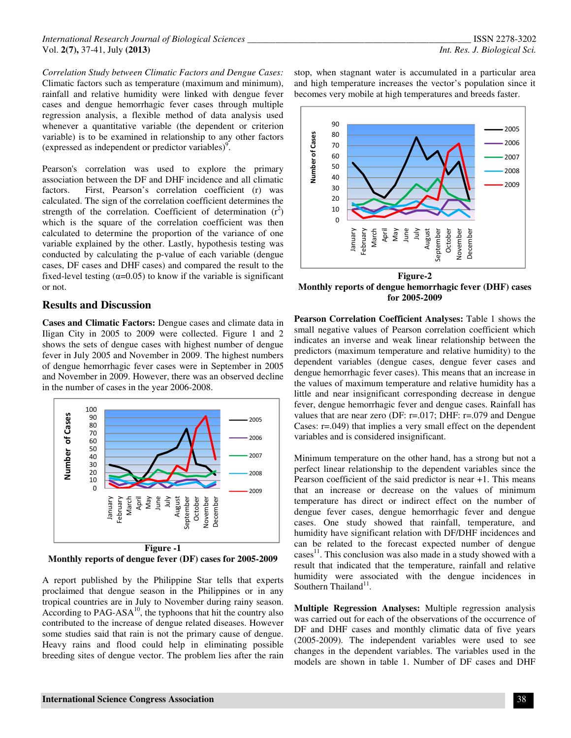*Correlation Study between Climatic Factors and Dengue Cases:* Climatic factors such as temperature (maximum and minimum), rainfall and relative humidity were linked with dengue fever cases and dengue hemorrhagic fever cases through multiple regression analysis, a flexible method of data analysis used whenever a quantitative variable (the dependent or criterion variable) is to be examined in relationship to any other factors (expressed as independent or predictor variables)<sup>9</sup>.

Pearson's correlation was used to explore the primary association between the DF and DHF incidence and all climatic factors. First, Pearson's correlation coefficient (r) was calculated. The sign of the correlation coefficient determines the strength of the correlation. Coefficient of determination  $(r^2)$ which is the square of the correlation coefficient was then calculated to determine the proportion of the variance of one variable explained by the other. Lastly, hypothesis testing was conducted by calculating the p-value of each variable (dengue cases, DF cases and DHF cases) and compared the result to the fixed-level testing  $(\alpha=0.05)$  to know if the variable is significant or not.

## **Results and Discussion**

**Cases and Climatic Factors:** Dengue cases and climate data in Iligan City in 2005 to 2009 were collected. Figure 1 and 2 shows the sets of dengue cases with highest number of dengue fever in July 2005 and November in 2009. The highest numbers of dengue hemorrhagic fever cases were in September in 2005 and November in 2009. However, there was an observed decline in the number of cases in the year 2006-2008.



**Monthly reports of dengue fever (DF) cases for 2005-2009** 

A report published by the Philippine Star tells that experts proclaimed that dengue season in the Philippines or in any tropical countries are in July to November during rainy season. According to  $PAG-ASA^{10}$ , the typhoons that hit the country also contributed to the increase of dengue related diseases. However some studies said that rain is not the primary cause of dengue. Heavy rains and flood could help in eliminating possible breeding sites of dengue vector. The problem lies after the rain

stop, when stagnant water is accumulated in a particular area and high temperature increases the vector's population since it becomes very mobile at high temperatures and breeds faster.



**Monthly reports of dengue hemorrhagic fever (DHF) cases for 2005-2009** 

**Pearson Correlation Coefficient Analyses:** Table 1 shows the small negative values of Pearson correlation coefficient which indicates an inverse and weak linear relationship between the predictors (maximum temperature and relative humidity) to the dependent variables (dengue cases, dengue fever cases and dengue hemorrhagic fever cases). This means that an increase in the values of maximum temperature and relative humidity has a little and near insignificant corresponding decrease in dengue fever, dengue hemorrhagic fever and dengue cases. Rainfall has values that are near zero (DF: r=.017; DHF: r=.079 and Dengue Cases: r=.049) that implies a very small effect on the dependent variables and is considered insignificant.

Minimum temperature on the other hand, has a strong but not a perfect linear relationship to the dependent variables since the Pearson coefficient of the said predictor is near +1. This means that an increase or decrease on the values of minimum temperature has direct or indirect effect on the number of dengue fever cases, dengue hemorrhagic fever and dengue cases. One study showed that rainfall, temperature, and humidity have significant relation with DF/DHF incidences and can be related to the forecast expected number of dengue  $cases<sup>11</sup>$ . This conclusion was also made in a study showed with a result that indicated that the temperature, rainfall and relative humidity were associated with the dengue incidences in Southern Thailand<sup>11</sup>.

**Multiple Regression Analyses:** Multiple regression analysis was carried out for each of the observations of the occurrence of DF and DHF cases and monthly climatic data of five years (2005-2009). The independent variables were used to see changes in the dependent variables. The variables used in the models are shown in table 1. Number of DF cases and DHF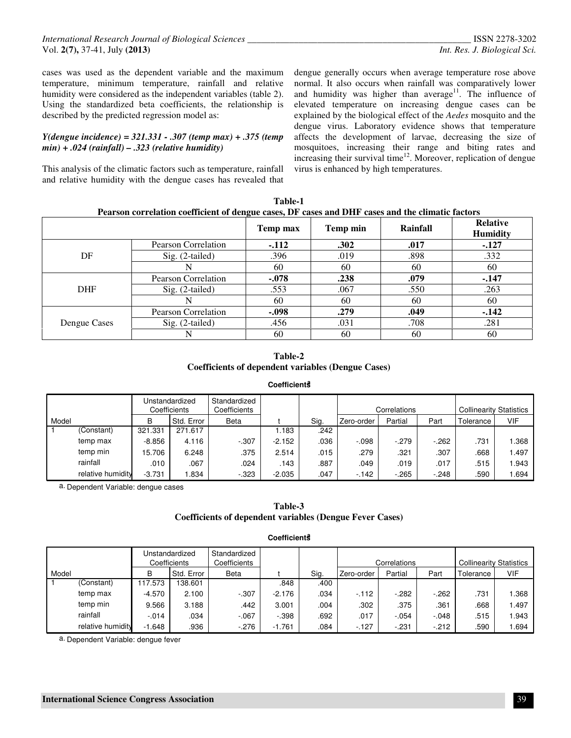cases was used as the dependent variable and the maximum temperature, minimum temperature, rainfall and relative humidity were considered as the independent variables (table 2). Using the standardized beta coefficients, the relationship is described by the predicted regression model as:

#### *Y(dengue incidence) = 321.331 - .307 (temp max) + .375 (temp min) + .024 (rainfall) – .323 (relative humidity)*

This analysis of the climatic factors such as temperature, rainfall and relative humidity with the dengue cases has revealed that dengue generally occurs when average temperature rose above normal. It also occurs when rainfall was comparatively lower and humidity was higher than average<sup>11</sup>. The influence of elevated temperature on increasing dengue cases can be explained by the biological effect of the *Aedes* mosquito and the dengue virus. Laboratory evidence shows that temperature affects the development of larvae, decreasing the size of mosquitoes, increasing their range and biting rates and increasing their survival time<sup>12</sup>. Moreover, replication of dengue virus is enhanced by high temperatures.

| Pearson correlation coefficient of dengue cases, DF cases and DHF cases and the climatic factors |                     |          |          |          |                                    |  |  |  |  |
|--------------------------------------------------------------------------------------------------|---------------------|----------|----------|----------|------------------------------------|--|--|--|--|
|                                                                                                  |                     | Temp max | Temp min | Rainfall | <b>Relative</b><br><b>Humidity</b> |  |  |  |  |
|                                                                                                  | Pearson Correlation | $-112$   | .302     | .017     | $-.127$                            |  |  |  |  |
| DF                                                                                               | $Sig. (2-tailed)$   | .396     | .019     | .898     | .332                               |  |  |  |  |
|                                                                                                  |                     | 60       | 60       | 60       | 60                                 |  |  |  |  |
|                                                                                                  | Pearson Correlation | $-.078$  | .238     | .079     | $-147$                             |  |  |  |  |
| <b>DHF</b>                                                                                       | $Sig. (2-tailed)$   | .553     | .067     | .550     | .263                               |  |  |  |  |
|                                                                                                  | N                   | 60       | 60       | 60       | 60                                 |  |  |  |  |
|                                                                                                  | Pearson Correlation | $-.098$  | .279     | .049     | $-142$                             |  |  |  |  |
| Dengue Cases                                                                                     | $Sig. (2-tailed)$   | .456     | .031     | .708     | .281                               |  |  |  |  |
|                                                                                                  |                     | 60       | 60       | 60       | 60                                 |  |  |  |  |

**Table-1** 

#### **Table-2 Coefficients of dependent variables (Dengue Cases)**

#### **Coefficients<sup>a</sup>**

|       |                   | Unstandardized<br>Coefficients |            | Standardized<br>Coefficients |          |      |             | Correlations |        | <b>Collinearity Statistics</b> |       |
|-------|-------------------|--------------------------------|------------|------------------------------|----------|------|-------------|--------------|--------|--------------------------------|-------|
| Model |                   | B                              | Std. Error | Beta                         |          | Sig. | ⊦Zero-order | Partial      | Part   | Tolerance                      | VIF   |
|       | (Constant)        | 321.331                        | 271.617    |                              | .183     | .242 |             |              |        |                                |       |
|       | temp max          | $-8.856$                       | 4.116      | $-.307$                      | $-2.152$ | .036 | $-.098$     | $-.279$      | $-262$ | .731                           | 368.  |
|       | temp min          | 15.706                         | 6.248      | .375                         | 2.514    | .015 | .279        | .321         | .307   | .668                           | 1.497 |
|       | rainfall          | .010                           | .067       | .024                         | .143     | .887 | .049        | .019         | .017   | .515                           | 1.943 |
|       | relative humidity | $-3.731$                       | .834       | $-0.323$                     | $-2.035$ | .047 | $-142$      | $-265$       | $-248$ | .590                           | 1.694 |

a. Dependent Variable: dengue cases

#### **Table-3 Coefficients of dependent variables (Dengue Fever Cases)**

#### **Coefficients<sup>a</sup>**

|       |                   | Unstandardized<br>Coefficients |            | Standardized<br>Coefficients |          |      | Correlations |         |         | <b>Collinearity Statistics</b> |       |
|-------|-------------------|--------------------------------|------------|------------------------------|----------|------|--------------|---------|---------|--------------------------------|-------|
| Model |                   | B                              | Std. Error | <b>Beta</b>                  |          | Sig. | , Zero-order | Partial | Part    | Tolerance                      | VIF   |
|       | (Constant)        | 17.573                         | 38.601     |                              | .848     | .400 |              |         |         |                                |       |
|       | temp max          | $-4.570$                       | 2.100      | $-.307$                      | $-2.176$ | .034 | $-112$       | $-282$  | $-262$  | .731                           | 1.368 |
|       | temp min          | 9.566                          | 3.188      | .442                         | 3.001    | .004 | .302         | .375    | .361    | .668                           | 1.497 |
|       | rainfall          | $-.014$                        | .034       | $-.067$                      | $-.398$  | .692 | .017         | $-.054$ | $-.048$ | .515                           | 1.943 |
|       | relative humidity | $-1.648$                       | .936       | $-.276$                      | $-1.761$ | .084 | $-127$       | $-.231$ | $-212$  | .590                           | .694  |

a. Dependent Variable: dengue fever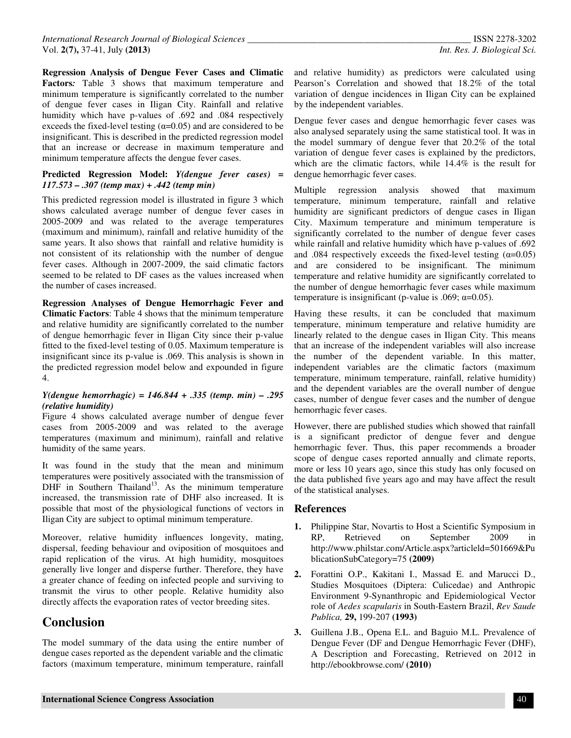**Regression Analysis of Dengue Fever Cases and Climatic Factors***:* Table 3 shows that maximum temperature and minimum temperature is significantly correlated to the number of dengue fever cases in Iligan City. Rainfall and relative humidity which have p-values of .692 and .084 respectively exceeds the fixed-level testing  $(\alpha=0.05)$  and are considered to be insignificant. This is described in the predicted regression model that an increase or decrease in maximum temperature and minimum temperature affects the dengue fever cases.

#### **Predicted Regression Model:** *Y(dengue fever cases) = 117.573 – .307 (temp max) + .442 (temp min)*

This predicted regression model is illustrated in figure 3 which shows calculated average number of dengue fever cases in 2005-2009 and was related to the average temperatures (maximum and minimum), rainfall and relative humidity of the same years. It also shows that rainfall and relative humidity is not consistent of its relationship with the number of dengue fever cases. Although in 2007-2009, the said climatic factors seemed to be related to DF cases as the values increased when the number of cases increased.

**Regression Analyses of Dengue Hemorrhagic Fever and Climatic Factors**: Table 4 shows that the minimum temperature and relative humidity are significantly correlated to the number of dengue hemorrhagic fever in Iligan City since their p-value fitted to the fixed-level testing of 0.05. Maximum temperature is insignificant since its p-value is .069. This analysis is shown in the predicted regression model below and expounded in figure 4.

#### *Y(dengue hemorrhagic) = 146.844 + .335 (temp. min) – .295 (relative humidity)*

Figure 4 shows calculated average number of dengue fever cases from 2005-2009 and was related to the average temperatures (maximum and minimum), rainfall and relative humidity of the same years.

It was found in the study that the mean and minimum temperatures were positively associated with the transmission of  $\overrightarrow{DHF}$  in Southern Thailand<sup>13</sup>. As the minimum temperature increased, the transmission rate of DHF also increased. It is possible that most of the physiological functions of vectors in Iligan City are subject to optimal minimum temperature.

Moreover, relative humidity influences longevity, mating, dispersal, feeding behaviour and oviposition of mosquitoes and rapid replication of the virus. At high humidity, mosquitoes generally live longer and disperse further. Therefore, they have a greater chance of feeding on infected people and surviving to transmit the virus to other people. Relative humidity also directly affects the evaporation rates of vector breeding sites.

# **Conclusion**

The model summary of the data using the entire number of dengue cases reported as the dependent variable and the climatic factors (maximum temperature, minimum temperature, rainfall

and relative humidity) as predictors were calculated using Pearson's Correlation and showed that 18.2% of the total variation of dengue incidences in Iligan City can be explained by the independent variables.

Dengue fever cases and dengue hemorrhagic fever cases was also analysed separately using the same statistical tool. It was in the model summary of dengue fever that 20.2% of the total variation of dengue fever cases is explained by the predictors, which are the climatic factors, while 14.4% is the result for dengue hemorrhagic fever cases.

Multiple regression analysis showed that maximum temperature, minimum temperature, rainfall and relative humidity are significant predictors of dengue cases in Iligan City. Maximum temperature and minimum temperature is significantly correlated to the number of dengue fever cases while rainfall and relative humidity which have p-values of .692 and .084 respectively exceeds the fixed-level testing  $(\alpha=0.05)$ and are considered to be insignificant. The minimum temperature and relative humidity are significantly correlated to the number of dengue hemorrhagic fever cases while maximum temperature is insignificant (p-value is .069;  $\alpha$ =0.05).

Having these results, it can be concluded that maximum temperature, minimum temperature and relative humidity are linearly related to the dengue cases in Iligan City. This means that an increase of the independent variables will also increase the number of the dependent variable. In this matter, independent variables are the climatic factors (maximum temperature, minimum temperature, rainfall, relative humidity) and the dependent variables are the overall number of dengue cases, number of dengue fever cases and the number of dengue hemorrhagic fever cases.

However, there are published studies which showed that rainfall is a significant predictor of dengue fever and dengue hemorrhagic fever. Thus, this paper recommends a broader scope of dengue cases reported annually and climate reports, more or less 10 years ago, since this study has only focused on the data published five years ago and may have affect the result of the statistical analyses.

# **References**

- **1.** Philippine Star, Novartis to Host a Scientific Symposium in<br>RP. Retrieved on September 2009 in RP, Retrieved on September 2009 in http://www.philstar.com/Article.aspx?articleld=501669&Pu blicationSubCategory=75 **(2009)**
- **2.** Forattini O.P., Kakitani I., Massad E. and Marucci D., Studies Mosquitoes (Diptera: Culicedae) and Anthropic Environment 9-Synanthropic and Epidemiological Vector role of *Aedes scapularis* in South-Eastern Brazil, *Rev Saude Publica,* **29,** 199-207 **(1993)**
- **3.** Guillena J.B., Opena E.L. and Baguio M.L. Prevalence of Dengue Fever (DF and Dengue Hemorrhagic Fever (DHF), A Description and Forecasting, Retrieved on 2012 in http://ebookbrowse.com/ **(2010)**